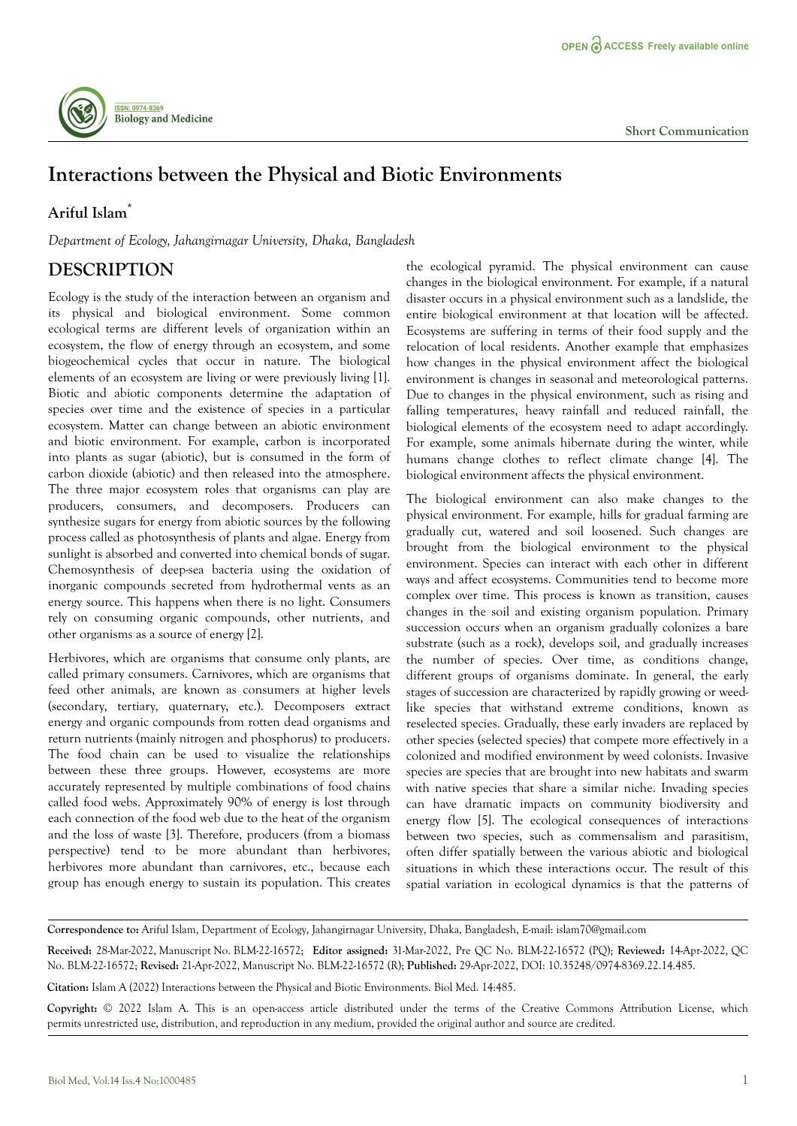

## **Interactions between the Physical and Biotic Environments**

## **Ariful Islam\***

*Department of Ecology, Jahangirnagar University, Dhaka, Bangladesh*

## **DESCRIPTION**

Ecology is the study of the interaction between an organism and its physical and biological environment. Some common ecological terms are different levels of organization within an ecosystem, the flow of energy through an ecosystem, and some biogeochemical cycles that occur in nature. The biological elements of an ecosystem are living or were previously living [1]. Biotic and abiotic components determine the adaptation of species over time and the existence of species in a particular ecosystem. Matter can change between an abiotic environment and biotic environment. For example, carbon is incorporated into plants as sugar (abiotic), but is consumed in the form of carbon dioxide (abiotic) and then released into the atmosphere. The three major ecosystem roles that organisms can play are producers, consumers, and decomposers. Producers can synthesize sugars for energy from abiotic sources by the following process called as photosynthesis of plants and algae. Energy from sunlight is absorbed and converted into chemical bonds of sugar. Chemosynthesis of deep-sea bacteria using the oxidation of inorganic compounds secreted from hydrothermal vents as an energy source. This happens when there is no light. Consumers rely on consuming organic compounds, other nutrients, and other organisms as a source of energy [2].

Herbivores, which are organisms that consume only plants, are called primary consumers. Carnivores, which are organisms that feed other animals, are known as consumers at higher levels (secondary, tertiary, quaternary, etc.). Decomposers extract energy and organic compounds from rotten dead organisms and return nutrients (mainly nitrogen and phosphorus) to producers. The food chain can be used to visualize the relationships between these three groups. However, ecosystems are more accurately represented by multiple combinations of food chains called food webs. Approximately 90% of energy is lost through each connection of the food web due to the heat of the organism and the loss of waste [3]. Therefore, producers (from a biomass perspective) tend to be more abundant than herbivores, herbivores more abundant than carnivores, etc., because each group has enough energy to sustain its population. This creates

the ecological pyramid. The physical environment can cause changes in the biological environment. For example, if a natural disaster occurs in a physical environment such as a landslide, the entire biological environment at that location will be affected. Ecosystems are suffering in terms of their food supply and the relocation of local residents. Another example that emphasizes how changes in the physical environment affect the biological environment is changes in seasonal and meteorological patterns. Due to changes in the physical environment, such as rising and falling temperatures, heavy rainfall and reduced rainfall, the biological elements of the ecosystem need to adapt accordingly. For example, some animals hibernate during the winter, while humans change clothes to reflect climate change [4]. The biological environment affects the physical environment.

The biological environment can also make changes to the physical environment. For example, hills for gradual farming are gradually cut, watered and soil loosened. Such changes are brought from the biological environment to the physical environment. Species can interact with each other in different ways and affect ecosystems. Communities tend to become more complex over time. This process is known as transition, causes changes in the soil and existing organism population. Primary succession occurs when an organism gradually colonizes a bare substrate (such as a rock), develops soil, and gradually increases the number of species. Over time, as conditions change, different groups of organisms dominate. In general, the early stages of succession are characterized by rapidly growing or weedlike species that withstand extreme conditions, known as reselected species. Gradually, these early invaders are replaced by other species (selected species) that compete more effectively in a colonized and modified environment by weed colonists. Invasive species are species that are brought into new habitats and swarm with native species that share a similar niche. Invading species can have dramatic impacts on community biodiversity and energy flow [5]. The ecological consequences of interactions between two species, such as commensalism and parasitism, often differ spatially between the various abiotic and biological situations in which these interactions occur. The result of this spatial variation in ecological dynamics is that the patterns of

**Correspondence to:** Ariful Islam, Department of Ecology, Jahangirnagar University, Dhaka, Bangladesh, E-mail: islam70@gmail.com

**Received:** 28-Mar-2022, Manuscript No. BLM-22-16572; **Editor assigned:** 31-Mar-2022, Pre QC No. BLM-22-16572 (PQ); **Reviewed:** 14-Apr-2022, QC No. BLM-22-16572; **Revised:** 21-Apr-2022, Manuscript No. BLM-22-16572 (R); **Published:** 29-Apr-2022, DOI: 10.35248/0974-8369.22.14.485.

**Citation:** Islam A (2022) Interactions between the Physical and Biotic Environments. Biol Med. 14:485.

**Copyright:** © 2022 Islam A. This is an open-access article distributed under the terms of the Creative Commons Attribution License, which permits unrestricted use, distribution, and reproduction in any medium, provided the original author and source are credited.